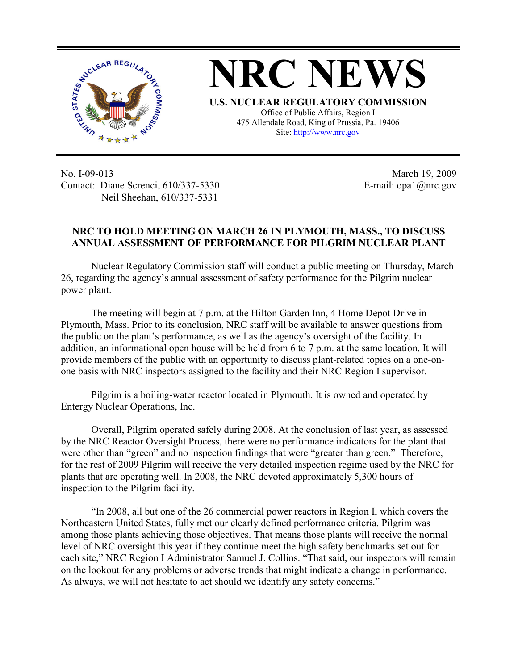

**NRC NEWS U.S. NUCLEAR REGULATORY COMMISSION** Office of Public Affairs, Region I 475 Allendale Road, King of Prussia, Pa. 19406

Site: http://www.nrc.gov

No. I-09-013 Contact: Diane Screnci, 610/337-5330 Neil Sheehan, 610/337-5331

March 19, 2009 E-mail: opa1@nrc.gov

## **NRC TO HOLD MEETING ON MARCH 26 IN PLYMOUTH, MASS., TO DISCUSS ANNUAL ASSESSMENT OF PERFORMANCE FOR PILGRIM NUCLEAR PLANT**

Nuclear Regulatory Commission staff will conduct a public meeting on Thursday, March 26, regarding the agency's annual assessment of safety performance for the Pilgrim nuclear power plant.

The meeting will begin at 7 p.m. at the Hilton Garden Inn, 4 Home Depot Drive in Plymouth, Mass. Prior to its conclusion, NRC staff will be available to answer questions from the public on the plant's performance, as well as the agency's oversight of the facility. In addition, an informational open house will be held from 6 to 7 p.m. at the same location. It will provide members of the public with an opportunity to discuss plant-related topics on a one-onone basis with NRC inspectors assigned to the facility and their NRC Region I supervisor.

Pilgrim is a boiling-water reactor located in Plymouth. It is owned and operated by Entergy Nuclear Operations, Inc.

Overall, Pilgrim operated safely during 2008. At the conclusion of last year, as assessed by the NRC Reactor Oversight Process, there were no performance indicators for the plant that were other than "green" and no inspection findings that were "greater than green." Therefore, for the rest of 2009 Pilgrim will receive the very detailed inspection regime used by the NRC for plants that are operating well. In 2008, the NRC devoted approximately 5,300 hours of inspection to the Pilgrim facility.

"In 2008, all but one of the 26 commercial power reactors in Region I, which covers the Northeastern United States, fully met our clearly defined performance criteria. Pilgrim was among those plants achieving those objectives. That means those plants will receive the normal level of NRC oversight this year if they continue meet the high safety benchmarks set out for each site," NRC Region I Administrator Samuel J. Collins. "That said, our inspectors will remain on the lookout for any problems or adverse trends that might indicate a change in performance. As always, we will not hesitate to act should we identify any safety concerns."